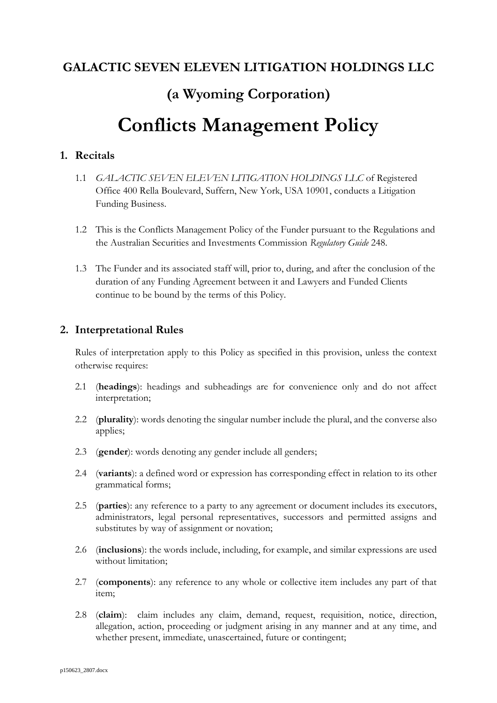## **GALACTIC SEVEN ELEVEN LITIGATION HOLDINGS LLC**

# **(a Wyoming Corporation) Conflicts Management Policy**

## **1. Recitals**

- 1.1 *GALACTIC SEVEN ELEVEN LITIGATION HOLDINGS LLC* of Registered Office 400 Rella Boulevard, Suffern, New York, USA 10901, conducts a Litigation Funding Business.
- 1.2 This is the Conflicts Management Policy of the Funder pursuant to the Regulations and the Australian Securities and Investments Commission *Regulatory Guide* 248.
- 1.3 The Funder and its associated staff will, prior to, during, and after the conclusion of the duration of any Funding Agreement between it and Lawyers and Funded Clients continue to be bound by the terms of this Policy.

## **2. Interpretational Rules**

Rules of interpretation apply to this Policy as specified in this provision, unless the context otherwise requires:

- 2.1 (**headings**): headings and subheadings are for convenience only and do not affect interpretation;
- 2.2 (**plurality**): words denoting the singular number include the plural, and the converse also applies;
- 2.3 (**gender**): words denoting any gender include all genders;
- 2.4 (**variants**): a defined word or expression has corresponding effect in relation to its other grammatical forms;
- 2.5 (**parties**): any reference to a party to any agreement or document includes its executors, administrators, legal personal representatives, successors and permitted assigns and substitutes by way of assignment or novation;
- 2.6 (**inclusions**): the words include, including, for example, and similar expressions are used without limitation;
- 2.7 (**components**): any reference to any whole or collective item includes any part of that item;
- 2.8 (**claim**): claim includes any claim, demand, request, requisition, notice, direction, allegation, action, proceeding or judgment arising in any manner and at any time, and whether present, immediate, unascertained, future or contingent;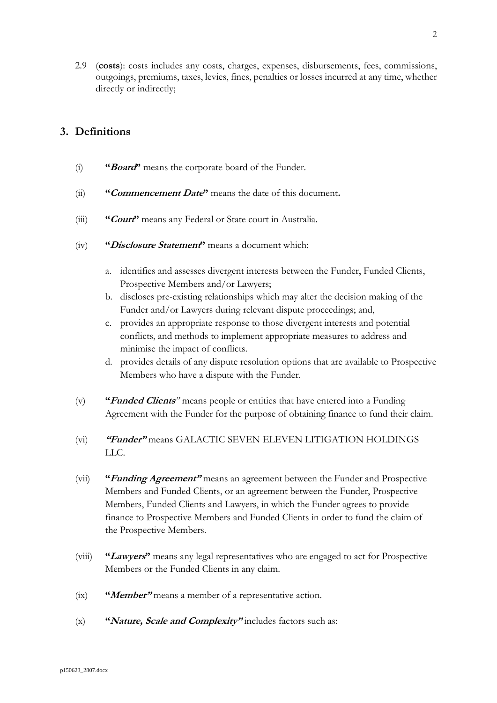2.9 (**costs**): costs includes any costs, charges, expenses, disbursements, fees, commissions, outgoings, premiums, taxes, levies, fines, penalties or losses incurred at any time, whether directly or indirectly;

## **3. Definitions**

- (i) **"Board"** means the corporate board of the Funder.
- (ii) **"Commencement Date"** means the date of this document**.**
- (iii) **"Court"** means any Federal or State court in Australia.
- (iv) **"Disclosure Statement"** means a document which:
	- a. identifies and assesses divergent interests between the Funder, Funded Clients, Prospective Members and/or Lawyers;
	- b. discloses pre-existing relationships which may alter the decision making of the Funder and/or Lawyers during relevant dispute proceedings; and,
	- c. provides an appropriate response to those divergent interests and potential conflicts, and methods to implement appropriate measures to address and minimise the impact of conflicts.
	- d. provides details of any dispute resolution options that are available to Prospective Members who have a dispute with the Funder.
- (v) **"Funded Clients***"* means people or entities that have entered into a Funding Agreement with the Funder for the purpose of obtaining finance to fund their claim.
- (vi) **"Funder"** means GALACTIC SEVEN ELEVEN LITIGATION HOLDINGS LLC.
- (vii) **"Funding Agreement"** means an agreement between the Funder and Prospective Members and Funded Clients, or an agreement between the Funder, Prospective Members, Funded Clients and Lawyers, in which the Funder agrees to provide finance to Prospective Members and Funded Clients in order to fund the claim of the Prospective Members.
- (viii) **"Lawyers"** means any legal representatives who are engaged to act for Prospective Members or the Funded Clients in any claim.
- (ix) **"Member"** means a member of a representative action.
- (x) **"Nature, Scale and Complexity"** includes factors such as: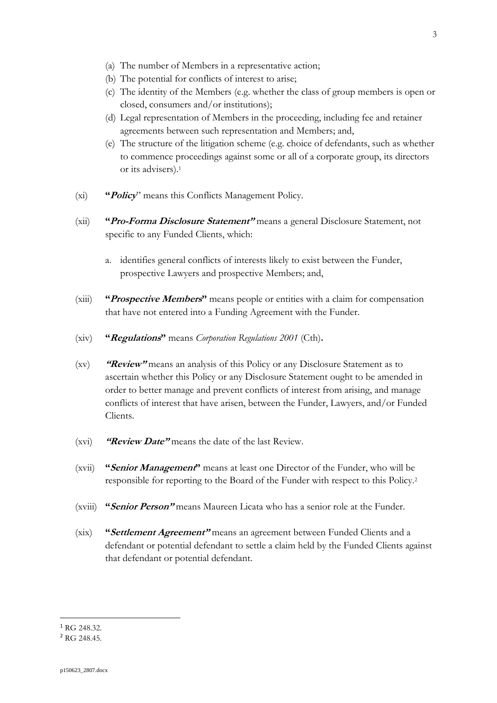- (a) The number of Members in a representative action;
- (b) The potential for conflicts of interest to arise;
- (c) The identity of the Members (e.g. whether the class of group members is open or closed, consumers and/or institutions);
- (d) Legal representation of Members in the proceeding, including fee and retainer agreements between such representation and Members; and,
- (e) The structure of the litigation scheme (e.g. choice of defendants, such as whether to commence proceedings against some or all of a corporate group, its directors or its advisers).<sup>1</sup>
- (xi) **"Policy**" means this Conflicts Management Policy.
- (xii) **"Pro-Forma Disclosure Statement"** means a general Disclosure Statement, not specific to any Funded Clients, which:
	- a. identifies general conflicts of interests likely to exist between the Funder, prospective Lawyers and prospective Members; and,
- (xiii) **"Prospective Members"** means people or entities with a claim for compensation that have not entered into a Funding Agreement with the Funder.
- (xiv) **"Regulations"** means *Corporation Regulations 2001* (Cth)**.**
- (xv) **"Review"** means an analysis of this Policy or any Disclosure Statement as to ascertain whether this Policy or any Disclosure Statement ought to be amended in order to better manage and prevent conflicts of interest from arising, and manage conflicts of interest that have arisen, between the Funder, Lawyers, and/or Funded Clients.
- (xvi) **"Review Date"** means the date of the last Review.
- (xvii) **"Senior Management"** means at least one Director of the Funder, who will be responsible for reporting to the Board of the Funder with respect to this Policy. 2
- (xviii) **"Senior Person"** means Maureen Licata who has a senior role at the Funder.
- (xix) **"Settlement Agreement"** means an agreement between Funded Clients and a defendant or potential defendant to settle a claim held by the Funded Clients against that defendant or potential defendant.

<sup>&</sup>lt;sup>1</sup> RG 248.32.

<sup>2</sup> RG 248.45.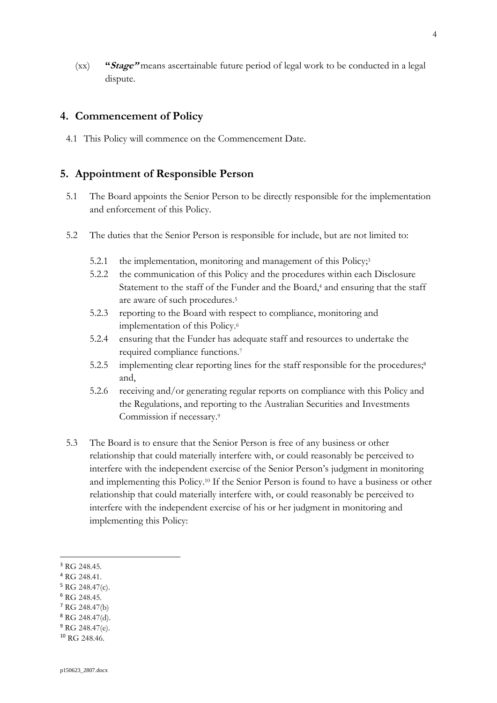(xx) **"Stage"** means ascertainable future period of legal work to be conducted in a legal dispute.

## **4. Commencement of Policy**

4.1 This Policy will commence on the Commencement Date.

#### **5. Appointment of Responsible Person**

- 5.1 The Board appoints the Senior Person to be directly responsible for the implementation and enforcement of this Policy.
- 5.2 The duties that the Senior Person is responsible for include, but are not limited to:
	- 5.2.1 the implementation, monitoring and management of this Policy;<sup>3</sup>
	- 5.2.2 the communication of this Policy and the procedures within each Disclosure Statement to the staff of the Funder and the Board,<sup>4</sup> and ensuring that the staff are aware of such procedures.<sup>5</sup>
	- 5.2.3 reporting to the Board with respect to compliance, monitoring and implementation of this Policy.<sup>6</sup>
	- 5.2.4 ensuring that the Funder has adequate staff and resources to undertake the required compliance functions.<sup>7</sup>
	- 5.2.5 implementing clear reporting lines for the staff responsible for the procedures;<sup>8</sup> and,
	- 5.2.6 receiving and/or generating regular reports on compliance with this Policy and the Regulations, and reporting to the Australian Securities and Investments Commission if necessary.<sup>9</sup>
- 5.3 The Board is to ensure that the Senior Person is free of any business or other relationship that could materially interfere with, or could reasonably be perceived to interfere with the independent exercise of the Senior Person's judgment in monitoring and implementing this Policy. <sup>10</sup> If the Senior Person is found to have a business or other relationship that could materially interfere with, or could reasonably be perceived to interfere with the independent exercise of his or her judgment in monitoring and implementing this Policy:

- <sup>4</sup> RG 248.41.
- $5$  RG 248.47(c).
- <sup>6</sup> RG 248.45.
- <sup>7</sup> RG 248.47(b)
- <sup>8</sup> RG 248.47(d).
- $9 \text{ RG } 248.47(e)$ .

<sup>&</sup>lt;sup>3</sup> RG 248.45.

<sup>10</sup> RG 248.46.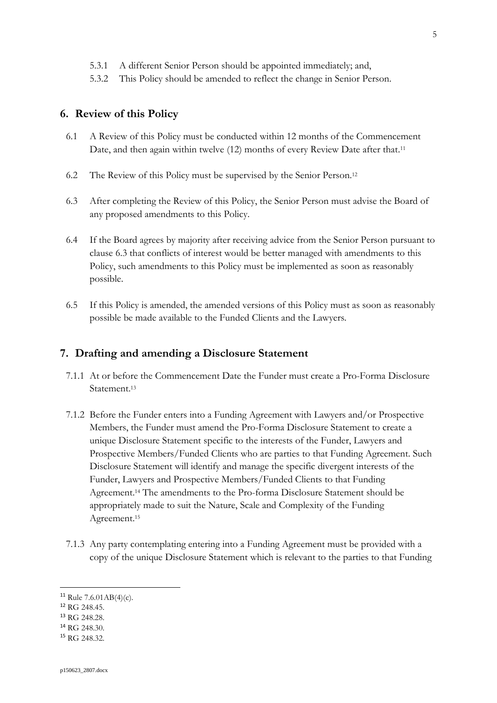5.3.2 This Policy should be amended to reflect the change in Senior Person.

## **6. Review of this Policy**

- 6.1 A Review of this Policy must be conducted within 12 months of the Commencement Date, and then again within twelve (12) months of every Review Date after that.<sup>11</sup>
- 6.2 The Review of this Policy must be supervised by the Senior Person. 12
- 6.3 After completing the Review of this Policy, the Senior Person must advise the Board of any proposed amendments to this Policy.
- 6.4 If the Board agrees by majority after receiving advice from the Senior Person pursuant to clause 6.3 that conflicts of interest would be better managed with amendments to this Policy, such amendments to this Policy must be implemented as soon as reasonably possible.
- 6.5 If this Policy is amended, the amended versions of this Policy must as soon as reasonably possible be made available to the Funded Clients and the Lawyers.

#### **7. Drafting and amending a Disclosure Statement**

- 7.1.1 At or before the Commencement Date the Funder must create a Pro-Forma Disclosure Statement. 13
- 7.1.2 Before the Funder enters into a Funding Agreement with Lawyers and/or Prospective Members, the Funder must amend the Pro-Forma Disclosure Statement to create a unique Disclosure Statement specific to the interests of the Funder, Lawyers and Prospective Members/Funded Clients who are parties to that Funding Agreement. Such Disclosure Statement will identify and manage the specific divergent interests of the Funder, Lawyers and Prospective Members/Funded Clients to that Funding Agreement. <sup>14</sup> The amendments to the Pro-forma Disclosure Statement should be appropriately made to suit the Nature, Scale and Complexity of the Funding Agreement.<sup>15</sup>
- 7.1.3 Any party contemplating entering into a Funding Agreement must be provided with a copy of the unique Disclosure Statement which is relevant to the parties to that Funding

<sup>&</sup>lt;sup>11</sup> Rule 7.6.01AB(4)(c).

<sup>12</sup> RG 248.45.

<sup>13</sup> RG 248.28.

<sup>14</sup> RG 248.30.

<sup>15</sup> RG 248.32.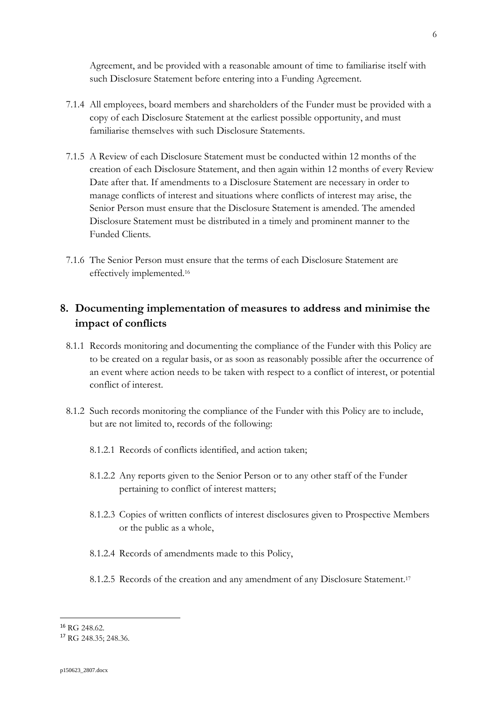Agreement, and be provided with a reasonable amount of time to familiarise itself with such Disclosure Statement before entering into a Funding Agreement.

- 7.1.4 All employees, board members and shareholders of the Funder must be provided with a copy of each Disclosure Statement at the earliest possible opportunity, and must familiarise themselves with such Disclosure Statements.
- 7.1.5 A Review of each Disclosure Statement must be conducted within 12 months of the creation of each Disclosure Statement, and then again within 12 months of every Review Date after that. If amendments to a Disclosure Statement are necessary in order to manage conflicts of interest and situations where conflicts of interest may arise, the Senior Person must ensure that the Disclosure Statement is amended. The amended Disclosure Statement must be distributed in a timely and prominent manner to the Funded Clients.
- 7.1.6 The Senior Person must ensure that the terms of each Disclosure Statement are effectively implemented.<sup>16</sup>

## **8. Documenting implementation of measures to address and minimise the impact of conflicts**

- 8.1.1 Records monitoring and documenting the compliance of the Funder with this Policy are to be created on a regular basis, or as soon as reasonably possible after the occurrence of an event where action needs to be taken with respect to a conflict of interest, or potential conflict of interest.
- 8.1.2 Such records monitoring the compliance of the Funder with this Policy are to include, but are not limited to, records of the following:
	- 8.1.2.1 Records of conflicts identified, and action taken;
	- 8.1.2.2 Any reports given to the Senior Person or to any other staff of the Funder pertaining to conflict of interest matters;
	- 8.1.2.3 Copies of written conflicts of interest disclosures given to Prospective Members or the public as a whole,
	- 8.1.2.4 Records of amendments made to this Policy,
	- 8.1.2.5 Records of the creation and any amendment of any Disclosure Statement.<sup>17</sup>

<sup>16</sup> RG 248.62.

<sup>17</sup> RG 248.35; 248.36.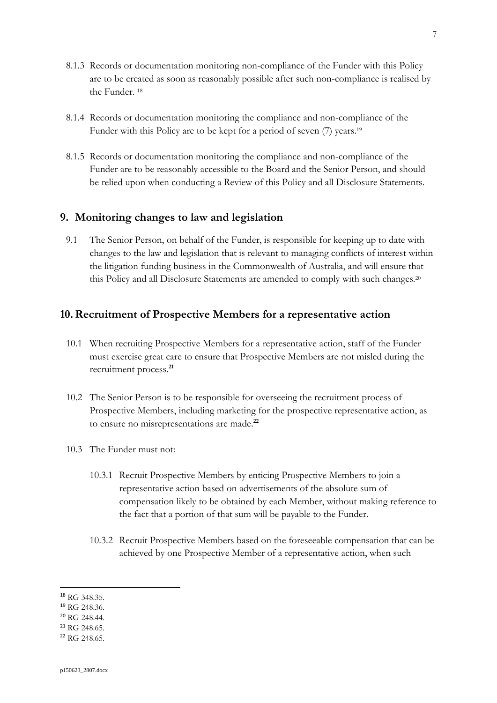- 8.1.3 Records or documentation monitoring non-compliance of the Funder with this Policy are to be created as soon as reasonably possible after such non-compliance is realised by the Funder. <sup>18</sup>
- 8.1.4 Records or documentation monitoring the compliance and non-compliance of the Funder with this Policy are to be kept for a period of seven (7) years.<sup>19</sup>
- 8.1.5 Records or documentation monitoring the compliance and non-compliance of the Funder are to be reasonably accessible to the Board and the Senior Person, and should be relied upon when conducting a Review of this Policy and all Disclosure Statements.

## **9. Monitoring changes to law and legislation**

9.1 The Senior Person, on behalf of the Funder, is responsible for keeping up to date with changes to the law and legislation that is relevant to managing conflicts of interest within the litigation funding business in the Commonwealth of Australia, and will ensure that this Policy and all Disclosure Statements are amended to comply with such changes.<sup>20</sup>

## **10.Recruitment of Prospective Members for a representative action**

- 10.1 When recruiting Prospective Members for a representative action, staff of the Funder must exercise great care to ensure that Prospective Members are not misled during the recruitment process.**<sup>21</sup>**
- 10.2 The Senior Person is to be responsible for overseeing the recruitment process of Prospective Members, including marketing for the prospective representative action, as to ensure no misrepresentations are made.**<sup>22</sup>**
- 10.3 The Funder must not:
	- 10.3.1 Recruit Prospective Members by enticing Prospective Members to join a representative action based on advertisements of the absolute sum of compensation likely to be obtained by each Member, without making reference to the fact that a portion of that sum will be payable to the Funder.
	- 10.3.2 Recruit Prospective Members based on the foreseeable compensation that can be achieved by one Prospective Member of a representative action, when such

<sup>18</sup> RG 348.35.

<sup>19</sup> RG 248.36.

<sup>20</sup> RG 248.44.

 $24$  RG 248.65.

<sup>22</sup> RG 248.65.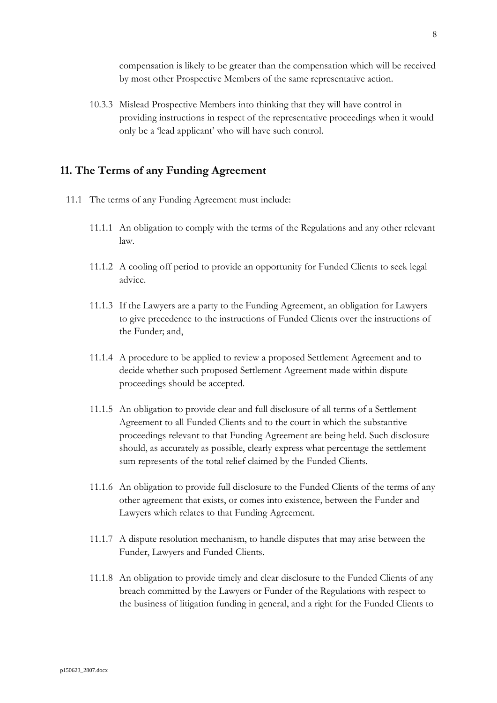compensation is likely to be greater than the compensation which will be received by most other Prospective Members of the same representative action.

10.3.3 Mislead Prospective Members into thinking that they will have control in providing instructions in respect of the representative proceedings when it would only be a 'lead applicant' who will have such control.

## **11. The Terms of any Funding Agreement**

- 11.1 The terms of any Funding Agreement must include:
	- 11.1.1 An obligation to comply with the terms of the Regulations and any other relevant law.
	- 11.1.2 A cooling off period to provide an opportunity for Funded Clients to seek legal advice.
	- 11.1.3 If the Lawyers are a party to the Funding Agreement, an obligation for Lawyers to give precedence to the instructions of Funded Clients over the instructions of the Funder; and,
	- 11.1.4 A procedure to be applied to review a proposed Settlement Agreement and to decide whether such proposed Settlement Agreement made within dispute proceedings should be accepted.
	- 11.1.5 An obligation to provide clear and full disclosure of all terms of a Settlement Agreement to all Funded Clients and to the court in which the substantive proceedings relevant to that Funding Agreement are being held. Such disclosure should, as accurately as possible, clearly express what percentage the settlement sum represents of the total relief claimed by the Funded Clients.
	- 11.1.6 An obligation to provide full disclosure to the Funded Clients of the terms of any other agreement that exists, or comes into existence, between the Funder and Lawyers which relates to that Funding Agreement.
	- 11.1.7 A dispute resolution mechanism, to handle disputes that may arise between the Funder, Lawyers and Funded Clients.
	- 11.1.8 An obligation to provide timely and clear disclosure to the Funded Clients of any breach committed by the Lawyers or Funder of the Regulations with respect to the business of litigation funding in general, and a right for the Funded Clients to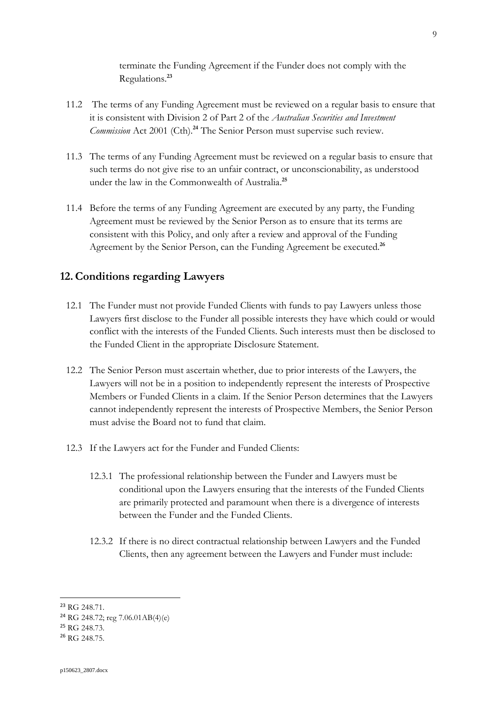terminate the Funding Agreement if the Funder does not comply with the Regulations.**<sup>23</sup>**

- 11.2 The terms of any Funding Agreement must be reviewed on a regular basis to ensure that it is consistent with Division 2 of Part 2 of the *Australian Securities and Investment Commission* Act 2001 (Cth).**<sup>24</sup>** The Senior Person must supervise such review.
- 11.3 The terms of any Funding Agreement must be reviewed on a regular basis to ensure that such terms do not give rise to an unfair contract, or unconscionability, as understood under the law in the Commonwealth of Australia. **25**
- 11.4 Before the terms of any Funding Agreement are executed by any party, the Funding Agreement must be reviewed by the Senior Person as to ensure that its terms are consistent with this Policy, and only after a review and approval of the Funding Agreement by the Senior Person, can the Funding Agreement be executed.**<sup>26</sup>**

## **12.Conditions regarding Lawyers**

- 12.1 The Funder must not provide Funded Clients with funds to pay Lawyers unless those Lawyers first disclose to the Funder all possible interests they have which could or would conflict with the interests of the Funded Clients. Such interests must then be disclosed to the Funded Client in the appropriate Disclosure Statement.
- 12.2 The Senior Person must ascertain whether, due to prior interests of the Lawyers, the Lawyers will not be in a position to independently represent the interests of Prospective Members or Funded Clients in a claim. If the Senior Person determines that the Lawyers cannot independently represent the interests of Prospective Members, the Senior Person must advise the Board not to fund that claim.
- 12.3 If the Lawyers act for the Funder and Funded Clients:
	- 12.3.1 The professional relationship between the Funder and Lawyers must be conditional upon the Lawyers ensuring that the interests of the Funded Clients are primarily protected and paramount when there is a divergence of interests between the Funder and the Funded Clients.
	- 12.3.2 If there is no direct contractual relationship between Lawyers and the Funded Clients, then any agreement between the Lawyers and Funder must include:

<sup>23</sup> RG 248.71.

<sup>&</sup>lt;sup>24</sup> RG 248.72; reg 7.06.01AB(4)(e)

<sup>25</sup> RG 248.73.

<sup>&</sup>lt;sup>26</sup> RG 248.75.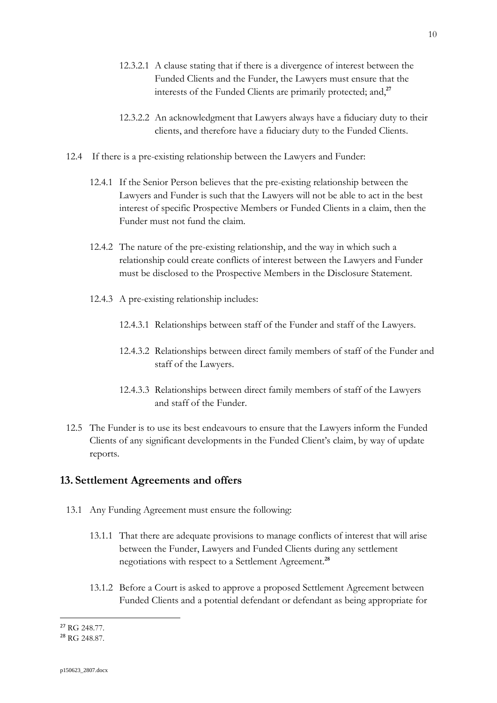- 12.3.2.1 A clause stating that if there is a divergence of interest between the Funded Clients and the Funder, the Lawyers must ensure that the interests of the Funded Clients are primarily protected; and,**<sup>27</sup>**
- 12.3.2.2 An acknowledgment that Lawyers always have a fiduciary duty to their clients, and therefore have a fiduciary duty to the Funded Clients.
- 12.4 If there is a pre-existing relationship between the Lawyers and Funder:
	- 12.4.1 If the Senior Person believes that the pre-existing relationship between the Lawyers and Funder is such that the Lawyers will not be able to act in the best interest of specific Prospective Members or Funded Clients in a claim, then the Funder must not fund the claim.
	- 12.4.2 The nature of the pre-existing relationship, and the way in which such a relationship could create conflicts of interest between the Lawyers and Funder must be disclosed to the Prospective Members in the Disclosure Statement.
	- 12.4.3 A pre-existing relationship includes:
		- 12.4.3.1 Relationships between staff of the Funder and staff of the Lawyers.
		- 12.4.3.2 Relationships between direct family members of staff of the Funder and staff of the Lawyers.
		- 12.4.3.3 Relationships between direct family members of staff of the Lawyers and staff of the Funder.
- 12.5 The Funder is to use its best endeavours to ensure that the Lawyers inform the Funded Clients of any significant developments in the Funded Client's claim, by way of update reports.

## **13. Settlement Agreements and offers**

- 13.1 Any Funding Agreement must ensure the following:
	- 13.1.1 That there are adequate provisions to manage conflicts of interest that will arise between the Funder, Lawyers and Funded Clients during any settlement negotiations with respect to a Settlement Agreement. **28**
	- 13.1.2 Before a Court is asked to approve a proposed Settlement Agreement between Funded Clients and a potential defendant or defendant as being appropriate for

<sup>27</sup> RG 248.77.

<sup>28</sup> RG 248.87.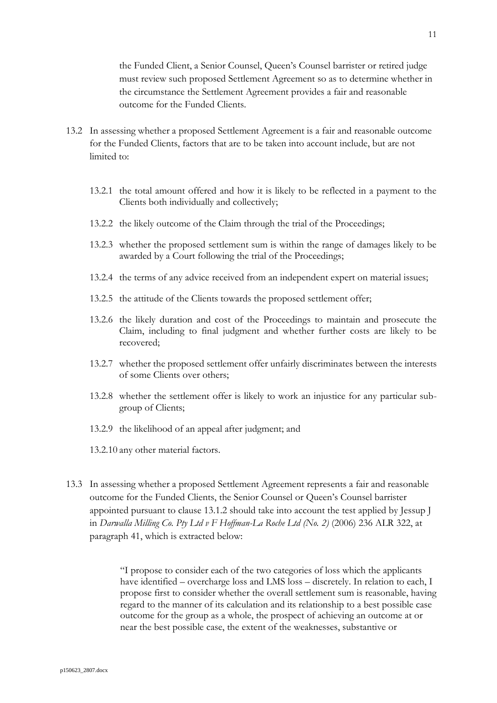the Funded Client, a Senior Counsel, Queen's Counsel barrister or retired judge must review such proposed Settlement Agreement so as to determine whether in the circumstance the Settlement Agreement provides a fair and reasonable outcome for the Funded Clients.

- 13.2 In assessing whether a proposed Settlement Agreement is a fair and reasonable outcome for the Funded Clients, factors that are to be taken into account include, but are not limited to:
	- 13.2.1 the total amount offered and how it is likely to be reflected in a payment to the Clients both individually and collectively;
	- 13.2.2 the likely outcome of the Claim through the trial of the Proceedings;
	- 13.2.3 whether the proposed settlement sum is within the range of damages likely to be awarded by a Court following the trial of the Proceedings;
	- 13.2.4 the terms of any advice received from an independent expert on material issues;
	- 13.2.5 the attitude of the Clients towards the proposed settlement offer;
	- 13.2.6 the likely duration and cost of the Proceedings to maintain and prosecute the Claim, including to final judgment and whether further costs are likely to be recovered;
	- 13.2.7 whether the proposed settlement offer unfairly discriminates between the interests of some Clients over others;
	- 13.2.8 whether the settlement offer is likely to work an injustice for any particular subgroup of Clients;
	- 13.2.9 the likelihood of an appeal after judgment; and
	- 13.2.10 any other material factors.
- 13.3 In assessing whether a proposed Settlement Agreement represents a fair and reasonable outcome for the Funded Clients, the Senior Counsel or Queen's Counsel barrister appointed pursuant to clause 13.1.2 should take into account the test applied by Jessup J in *Darwalla Milling Co. Pty Ltd v F Hoffman-La Roche Ltd (No. 2)* (2006) 236 ALR 322, at paragraph 41, which is extracted below:

"I propose to consider each of the two categories of loss which the applicants have identified – overcharge loss and LMS loss – discretely. In relation to each, I propose first to consider whether the overall settlement sum is reasonable, having regard to the manner of its calculation and its relationship to a best possible case outcome for the group as a whole, the prospect of achieving an outcome at or near the best possible case, the extent of the weaknesses, substantive or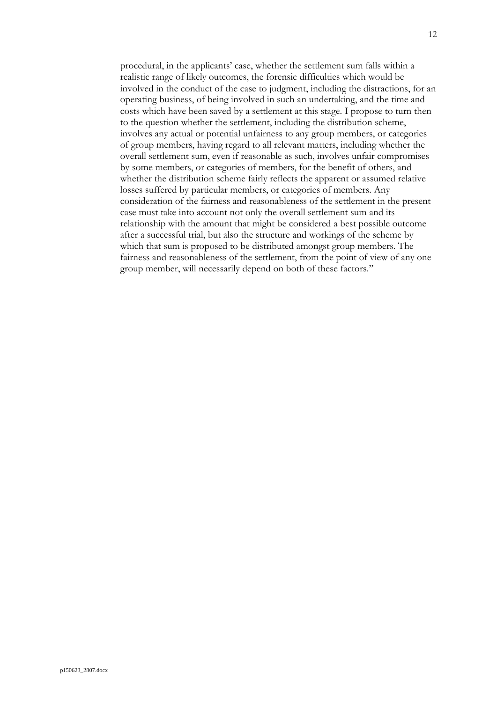procedural, in the applicants' case, whether the settlement sum falls within a realistic range of likely outcomes, the forensic difficulties which would be involved in the conduct of the case to judgment, including the distractions, for an operating business, of being involved in such an undertaking, and the time and costs which have been saved by a settlement at this stage. I propose to turn then to the question whether the settlement, including the distribution scheme, involves any actual or potential unfairness to any group members, or categories of group members, having regard to all relevant matters, including whether the overall settlement sum, even if reasonable as such, involves unfair compromises by some members, or categories of members, for the benefit of others, and whether the distribution scheme fairly reflects the apparent or assumed relative losses suffered by particular members, or categories of members. Any consideration of the fairness and reasonableness of the settlement in the present case must take into account not only the overall settlement sum and its relationship with the amount that might be considered a best possible outcome after a successful trial, but also the structure and workings of the scheme by which that sum is proposed to be distributed amongst group members. The fairness and reasonableness of the settlement, from the point of view of any one group member, will necessarily depend on both of these factors."